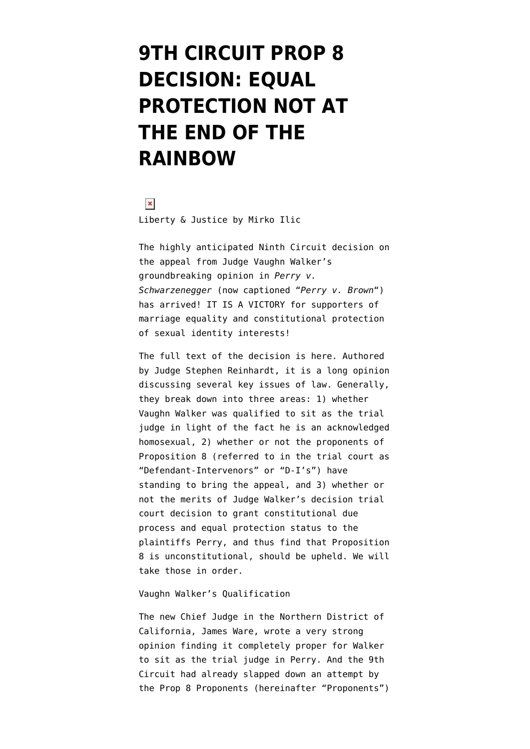## **[9TH CIRCUIT PROP 8](https://www.emptywheel.net/2012/02/07/9th-circuit-prop-8-decision-equal-protection-at-the-end-of-the-rainbow/) [DECISION: EQUAL](https://www.emptywheel.net/2012/02/07/9th-circuit-prop-8-decision-equal-protection-at-the-end-of-the-rainbow/) [PROTECTION NOT AT](https://www.emptywheel.net/2012/02/07/9th-circuit-prop-8-decision-equal-protection-at-the-end-of-the-rainbow/) [THE END OF THE](https://www.emptywheel.net/2012/02/07/9th-circuit-prop-8-decision-equal-protection-at-the-end-of-the-rainbow/) [RAINBOW](https://www.emptywheel.net/2012/02/07/9th-circuit-prop-8-decision-equal-protection-at-the-end-of-the-rainbow/)**

 $\pmb{\times}$ Liberty & Justice by Mirko Ilic

The highly anticipated Ninth Circuit decision on the appeal from Judge Vaughn Walker's [groundbreaking opinion](http://www.emptywheel.net/2010/08/04/breaking-news-court-overturns-prop-8-joy-for-marriage-equality/) in *Perry v. Schwarzenegger* (now captioned "*Perry v. Brown*") has arrived! IT IS A VICTORY for supporters of marriage equality and constitutional protection of sexual identity interests!

[The full text of the decision is here](http://www.emptywheel.net/wp-content/uploads/2012/02/Prop8-9thCircuitDecision.pdf). Authored by Judge Stephen Reinhardt, it is a long opinion discussing several key issues of law. Generally, they break down into three areas: 1) whether Vaughn Walker was qualified to sit as the trial judge in light of the fact he is an acknowledged homosexual, 2) whether or not the proponents of Proposition 8 (referred to in the trial court as "Defendant-Intervenors" or "D-I's") have standing to bring the appeal, and 3) whether or not the merits of Judge Walker's decision trial court decision to grant constitutional due process and equal protection status to the plaintiffs Perry, and thus find that Proposition 8 is unconstitutional, should be upheld. We will take those in order.

## Vaughn Walker's Qualification

The new Chief Judge in the Northern District of California, James Ware, wrote a [very strong](https://ecf.cand.uscourts.gov/cand/09cv2292/files/797.pdf) [opinion](https://ecf.cand.uscourts.gov/cand/09cv2292/files/797.pdf) finding it completely proper for Walker to sit as the trial judge in Perry. And the 9th Circuit had already slapped down an attempt by the Prop 8 Proponents (hereinafter "Proponents")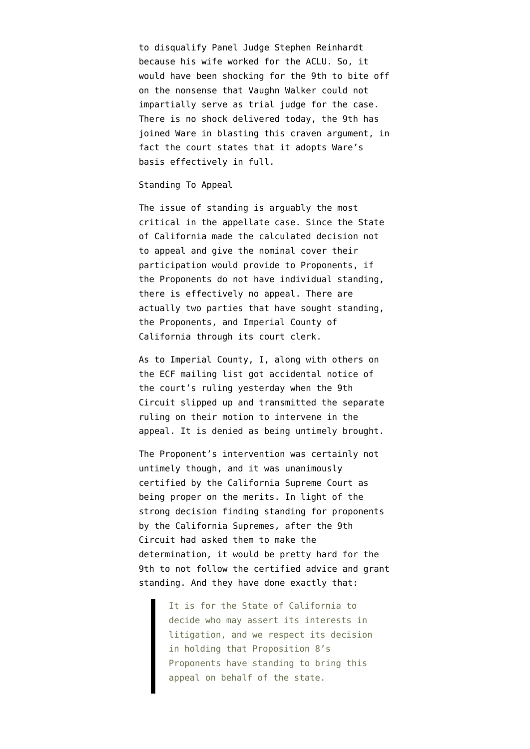to disqualify Panel Judge Stephen Reinhardt because his wife worked for the ACLU. So, it would have been shocking for the 9th to bite off on the nonsense that Vaughn Walker could not impartially serve as trial judge for the case. There is no shock delivered today, the 9th has joined Ware in blasting this craven argument, in fact the court states that it adopts Ware's basis effectively in full.

## Standing To Appeal

The issue of standing is arguably the most critical in the appellate case. Since the State of California made the calculated decision not to appeal and give the nominal cover their participation would provide to Proponents, if the Proponents do not have individual standing, there is effectively no appeal. There are actually two parties that have sought standing, the Proponents, and Imperial County of California through its court clerk.

As to Imperial County, I, along with others on the ECF mailing list got accidental notice of the court's ruling yesterday when the 9th Circuit slipped up and transmitted [the separate](http://www.emptywheel.net/wp-content/uploads/2012/02/ImperialCountyInterveneDenied.pdf) [ruling](http://www.emptywheel.net/wp-content/uploads/2012/02/ImperialCountyInterveneDenied.pdf) on their motion to intervene in the appeal. It is denied as being untimely brought.

The Proponent's intervention was certainly not untimely though, and it was [unanimously](http://www.emptywheel.net/2011/11/17/california-supreme-court-rules-there-is-standing-for-pop-8-intervenors/) [certified by the California Supreme Court](http://www.emptywheel.net/2011/11/17/california-supreme-court-rules-there-is-standing-for-pop-8-intervenors/) as being proper on the merits. In light of the [strong decision](http://www.emptywheel.net/wp-content/uploads/2011/11/11.pdf) finding standing for proponents by the California Supremes, after the 9th Circuit had asked them to make the determination, it would be pretty hard for the 9th to not follow the certified advice and grant standing. And they have done exactly that:

> It is for the State of California to decide who may assert its interests in litigation, and we respect its decision in holding that Proposition 8's Proponents have standing to bring this appeal on behalf of the state.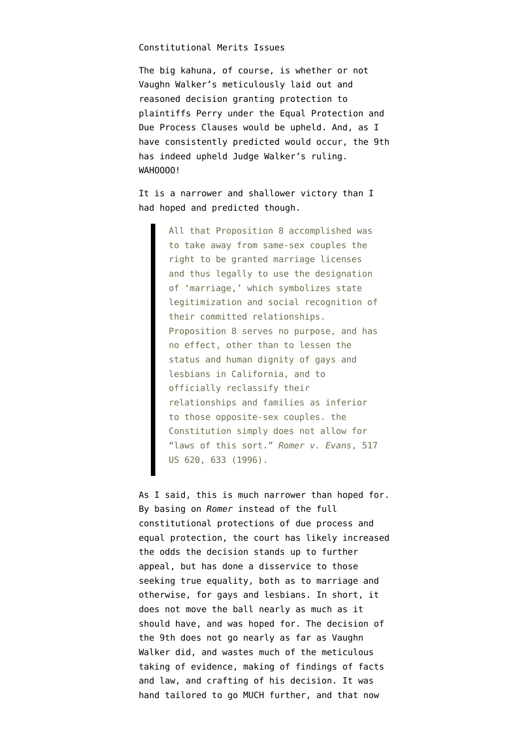## Constitutional Merits Issues

The big kahuna, of course, is whether or not Vaughn Walker's meticulously laid out and reasoned decision granting protection to plaintiffs Perry under the Equal Protection and Due Process Clauses would be upheld. And, as I have consistently predicted would occur, the 9th has indeed upheld Judge Walker's ruling. WAHOOOO!

It is a narrower and shallower victory than I had hoped and predicted though.

> All that Proposition 8 accomplished was to take away from same-sex couples the right to be granted marriage licenses and thus legally to use the designation of 'marriage,' which symbolizes state legitimization and social recognition of their committed relationships. Proposition 8 serves no purpose, and has no effect, other than to lessen the status and human dignity of gays and lesbians in California, and to officially reclassify their relationships and families as inferior to those opposite-sex couples. the Constitution simply does not allow for "laws of this sort." *Romer v. Evans*, 517 US 620, 633 (1996).

As I said, this is much narrower than hoped for. By basing on *Romer* instead of the full constitutional protections of due process and equal protection, the court has likely increased the odds the decision stands up to further appeal, but has done a disservice to those seeking true equality, both as to marriage and otherwise, for gays and lesbians. In short, it does not move the ball nearly as much as it should have, and was hoped for. The decision of the 9th does not go nearly as far as Vaughn Walker did, and wastes much of the meticulous taking of evidence, making of findings of facts and law, and crafting of his decision. It was hand tailored to go MUCH further, and that now